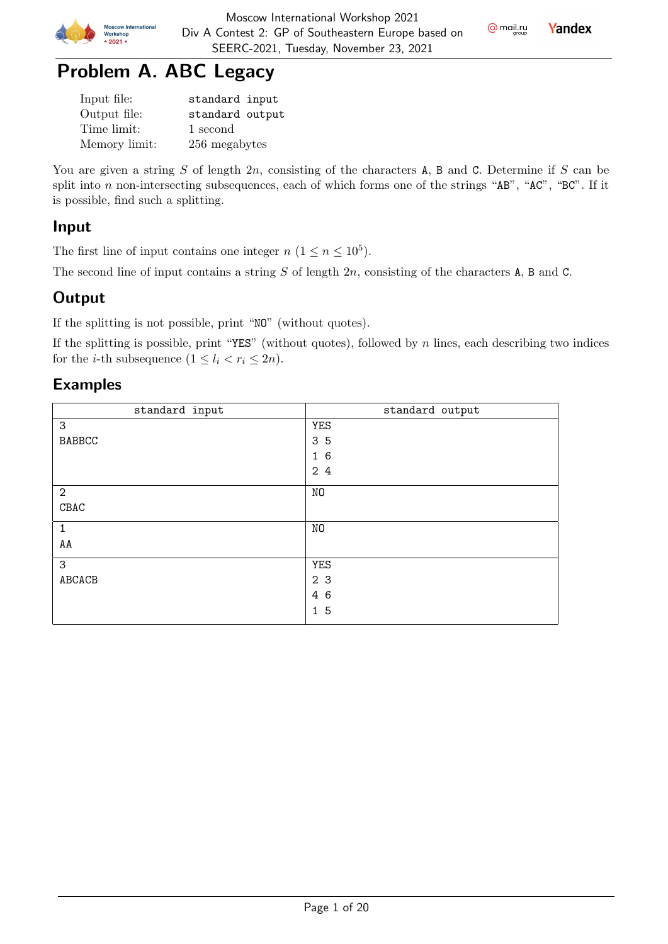

 $Q$  mail.ru

# Problem A. ABC Legacy

| Input file:   | standard input  |
|---------------|-----------------|
| Output file:  | standard output |
| Time limit:   | 1 second        |
| Memory limit: | 256 megabytes   |

You are given a string  $S$  of length  $2n$ , consisting of the characters A, B and C. Determine if  $S$  can be split into  $n$  non-intersecting subsequences, each of which forms one of the strings "AB", "AC", "BC". If it is possible, find such a splitting.

### Input

The first line of input contains one integer  $n (1 \le n \le 10^5)$ .

The second line of input contains a string  $S$  of length  $2n$ , consisting of the characters A, B and C.

## **Output**

If the splitting is not possible, print "NO" (without quotes).

If the splitting is possible, print "YES" (without quotes), followed by  $n$  lines, each describing two indices for the *i*-th subsequence  $(1 \leq l_i < r_i \leq 2n)$ .

## Examples

| standard input | standard output |
|----------------|-----------------|
| 3              | <b>YES</b>      |
| <b>BABBCC</b>  | 35              |
|                | 16              |
|                | 24              |
| $\overline{2}$ | NO              |
| C BAC          |                 |
| $\mathbf{1}$   | NO              |
| AA             |                 |
| 3              | <b>YES</b>      |
| ABCACB         | 2 <sub>3</sub>  |
|                | 4 6             |
|                | 15              |
|                |                 |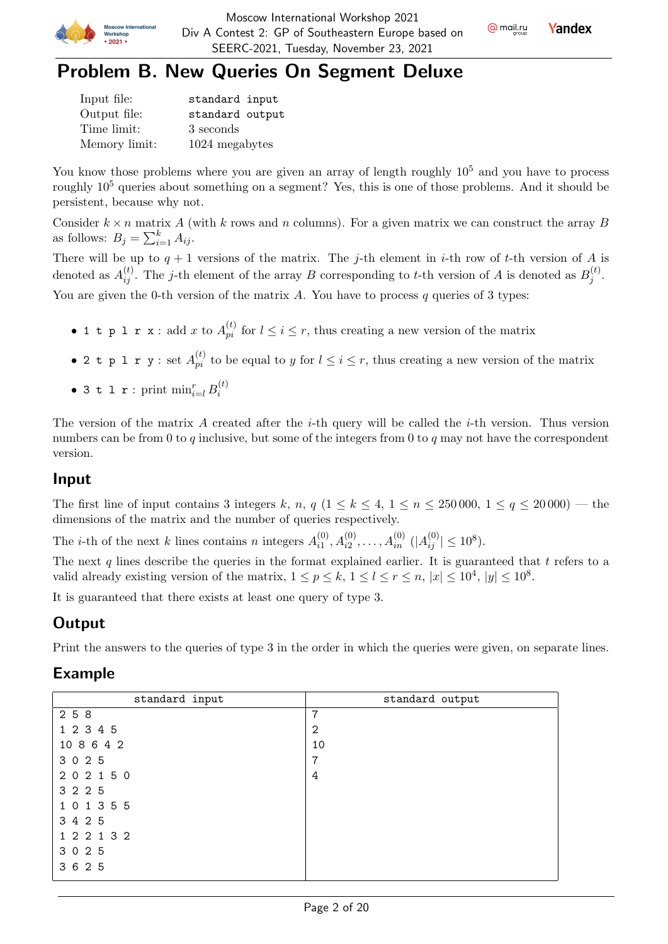



## Problem B. New Queries On Segment Deluxe

| Input file:   | standard input  |
|---------------|-----------------|
| Output file:  | standard output |
| Time limit:   | 3 seconds       |
| Memory limit: | 1024 megabytes  |

You know those problems where you are given an array of length roughly  $10<sup>5</sup>$  and you have to process roughly 10<sup>5</sup> queries about something on a segment? Yes, this is one of those problems. And it should be persistent, because why not.

Consider  $k \times n$  matrix A (with k rows and n columns). For a given matrix we can construct the array B as follows:  $B_j = \sum_{i=1}^k A_{ij}$ .

There will be up to  $q + 1$  versions of the matrix. The j-th element in i-th row of t-th version of A is denoted as  $A_{ij}^{(t)}$ . The j-th element of the array B corresponding to t-th version of A is denoted as  $B_j^{(t)}$  $j^{(\iota)}$  . You are given the 0-th version of the matrix  $A$ . You have to process  $q$  queries of 3 types:

- 1 t p 1 r x : add x to  $A_{pi}^{(t)}$  for  $l \leq i \leq r$ , thus creating a new version of the matrix
- 2 t p 1 r y : set  $A_{pi}^{(t)}$  to be equal to y for  $l \leq i \leq r$ , thus creating a new version of the matrix
- 3 t l r : print  $\min_{i=l}^r B_i^{(t)}$ i

The version of the matrix  $A$  created after the *i*-th query will be called the *i*-th version. Thus version numbers can be from 0 to  $q$  inclusive, but some of the integers from 0 to  $q$  may not have the correspondent version.

### Input

The first line of input contains 3 integers k, n, q  $(1 \le k \le 4, 1 \le n \le 250000, 1 \le q \le 20000)$  — the dimensions of the matrix and the number of queries respectively.

The *i*-th of the next *k* lines contains *n* integers  $A_{i1}^{(0)}$  $\lambda_{i1}^{(0)}, A_{i2}^{(0)}, \ldots, A_{in}^{(0)}$   $(|A_{ij}^{(0)}| \le 10^8)$ .

The next q lines describe the queries in the format explained earlier. It is guaranteed that  $t$  refers to a valid already existing version of the matrix,  $1 \le p \le k$ ,  $1 \le l \le r \le n$ ,  $|x| \le 10^4$ ,  $|y| \le 10^8$ .

It is guaranteed that there exists at least one query of type 3.

## **Output**

Print the answers to the queries of type 3 in the order in which the queries were given, on separate lines.

### Example

| standard input | standard output |
|----------------|-----------------|
| 2 5 8          | 7               |
| 1 2 3 4 5      | $\overline{2}$  |
| 10 8 6 4 2     | 10              |
| 3 0 2 5        | 7               |
| 202150         | 4               |
| 3 2 2 5        |                 |
| 1 0 1 3 5 5    |                 |
| 3 4 2 5        |                 |
| 1 2 2 1 3 2    |                 |
| 3 0 2 5        |                 |
| 3 6 2 5        |                 |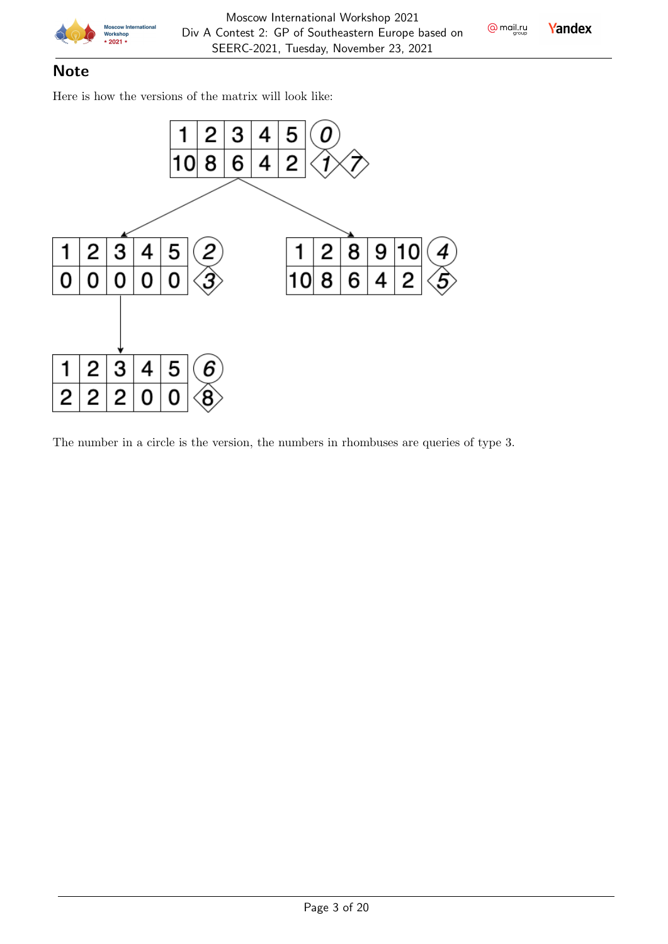

**Yandex** 

## **Note**

Here is how the versions of the matrix will look like:



The number in a circle is the version, the numbers in rhombuses are queries of type 3.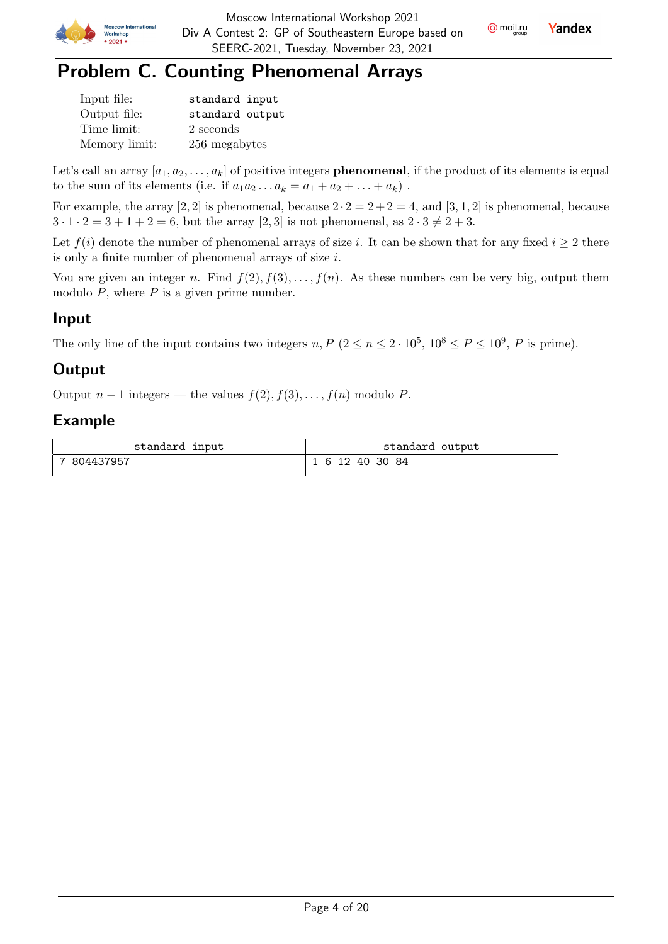

**Yandex** 



| Input file:   | standard input  |
|---------------|-----------------|
| Output file:  | standard output |
| Time limit:   | 2 seconds       |
| Memory limit: | 256 megabytes   |

Let's call an array  $[a_1, a_2, \ldots, a_k]$  of positive integers **phenomenal**, if the product of its elements is equal to the sum of its elements (i.e. if  $a_1 a_2 \dots a_k = a_1 + a_2 + \dots + a_k$ ).

For example, the array [2, 2] is phenomenal, because  $2 \cdot 2 = 2 + 2 = 4$ , and [3, 1, 2] is phenomenal, because  $3 \cdot 1 \cdot 2 = 3 + 1 + 2 = 6$ , but the array [2, 3] is not phenomenal, as  $2 \cdot 3 \neq 2 + 3$ .

Let  $f(i)$  denote the number of phenomenal arrays of size i. It can be shown that for any fixed  $i \geq 2$  there is only a finite number of phenomenal arrays of size  $i$ .

You are given an integer n. Find  $f(2), f(3), \ldots, f(n)$ . As these numbers can be very big, output them modulo  $P$ , where  $P$  is a given prime number.

## Input

The only line of the input contains two integers  $n, P (2 \le n \le 2 \cdot 10^5, 10^8 \le P \le 10^9, P$  is prime).

## **Output**

Output  $n-1$  integers — the values  $f(2), f(3), \ldots, f(n)$  modulo P.

## Example

| standard input | standard output |
|----------------|-----------------|
| 804437957      | 1 6 12 40 30 84 |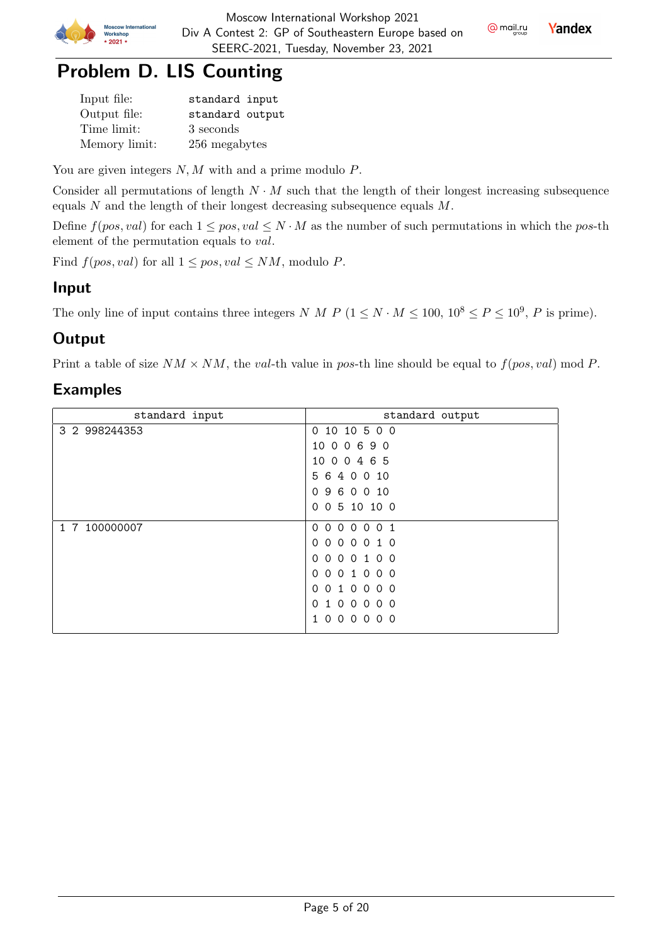

# Problem D. LIS Counting

| Input file:   | standard input  |
|---------------|-----------------|
| Output file:  | standard output |
| Time limit:   | 3 seconds       |
| Memory limit: | 256 megabytes   |

You are given integers  $N, M$  with and a prime modulo  $P$ .

Consider all permutations of length  $N \cdot M$  such that the length of their longest increasing subsequence equals  $N$  and the length of their longest decreasing subsequence equals  $M$ .

Define  $f(pos, val)$  for each  $1 \le pos, val \le N \cdot M$  as the number of such permutations in which the pos-th element of the permutation equals to *val*.

Find  $f(pos, val)$  for all  $1 \le pos, val \le NM$ , modulo P.

## Input

The only line of input contains three integers N M P  $(1 \le N \cdot M \le 100, 10^8 \le P \le 10^9, P$  is prime).

## **Output**

Print a table of size  $NM \times NM$ , the val-th value in pos-th line should be equal to  $f(pos, val) \mod P$ .

## Examples

| standard input | standard output                                                                        |
|----------------|----------------------------------------------------------------------------------------|
| 3 2 998244353  | 0 10 10 5 0 0                                                                          |
|                | 10 0 0 6 9 0                                                                           |
|                | 10 0 0 4 6 5                                                                           |
|                | 6<br>4 0 0 10<br>5.                                                                    |
|                | 9 6 0 0 10<br>$\Omega$                                                                 |
|                | 0 5 10 10 0<br>$\Omega$                                                                |
| 1 7 100000007  | 000<br>0 <sub>1</sub><br>$\Omega$<br>$\Omega$                                          |
|                | 000010<br>$\Omega$                                                                     |
|                | 000100<br>$\Omega$                                                                     |
|                | 001000<br>$\Omega$                                                                     |
|                | $\Omega$<br>$\overline{0}$<br>0 <sub>0</sub><br>$\Omega$<br>$\Omega$<br>$\overline{1}$ |
|                | 0 <sub>0</sub><br>$\circ$<br>0 <sub>0</sub><br>$\Omega$<br>$\mathbf{1}$                |
|                | $\Omega$<br>$\Omega$<br>$\Omega$<br>0 <sub>0</sub><br>$\Omega$                         |
|                |                                                                                        |

@ mail.ru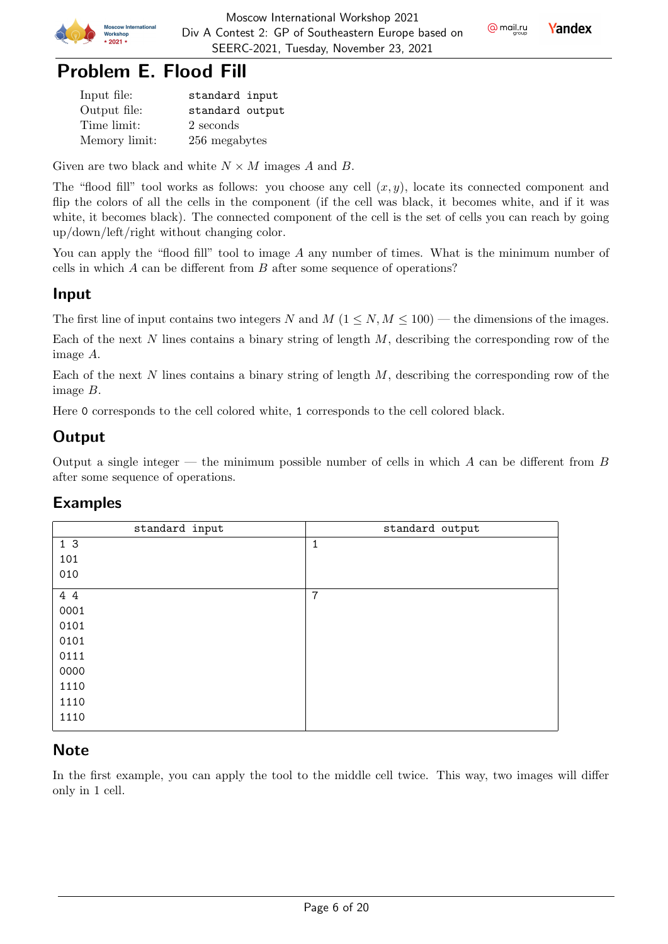

**Yandex** 

## Problem E. Flood Fill

| Input file:   | standard input  |
|---------------|-----------------|
| Output file:  | standard output |
| Time limit:   | 2 seconds       |
| Memory limit: | 256 megabytes   |

Given are two black and white  $N \times M$  images A and B.

The "flood fill" tool works as follows: you choose any cell  $(x, y)$ , locate its connected component and flip the colors of all the cells in the component (if the cell was black, it becomes white, and if it was white, it becomes black). The connected component of the cell is the set of cells you can reach by going up/down/left/right without changing color.

You can apply the "flood fill" tool to image A any number of times. What is the minimum number of cells in which  $A$  can be different from  $B$  after some sequence of operations?

### Input

The first line of input contains two integers N and  $M$  ( $1 \le N, M \le 100$ ) — the dimensions of the images.

Each of the next  $N$  lines contains a binary string of length  $M$ , describing the corresponding row of the image  $A$ .

Each of the next  $N$  lines contains a binary string of length  $M$ , describing the corresponding row of the image  $B$ .

Here 0 corresponds to the cell colored white, 1 corresponds to the cell colored black.

## **Output**

Output a single integer — the minimum possible number of cells in which  $A$  can be different from  $B$ after some sequence of operations.

### Examples

| standard input | standard output |
|----------------|-----------------|
| 1 <sub>3</sub> | 1               |
| 101            |                 |
| 010            |                 |
| 4 4            | $\overline{7}$  |
| 0001           |                 |
| 0101           |                 |
| 0101           |                 |
| 0111           |                 |
| 0000           |                 |
| 1110           |                 |
| 1110           |                 |
| 1110           |                 |

### **Note**

In the first example, you can apply the tool to the middle cell twice. This way, two images will differ only in 1 cell.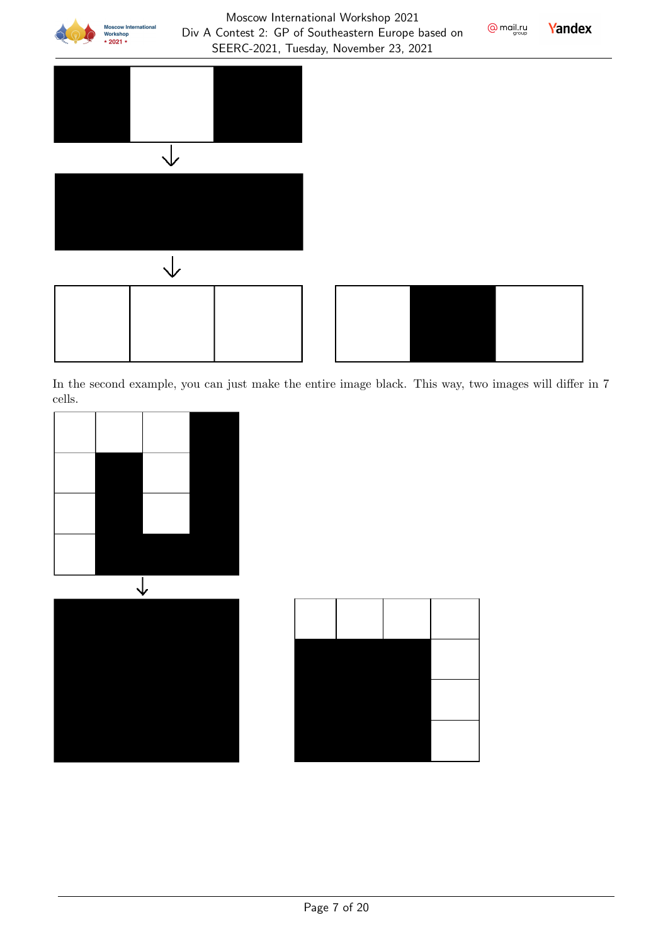

#### Moscow International Workshop 2021 Div A Contest 2: GP of Southeastern Europe based on SEERC-2021, Tuesday, November 23, 2021







Yandex

 $Q$  mail.ru

In the second example, you can just make the entire image black. This way, two images will differ in 7 cells.



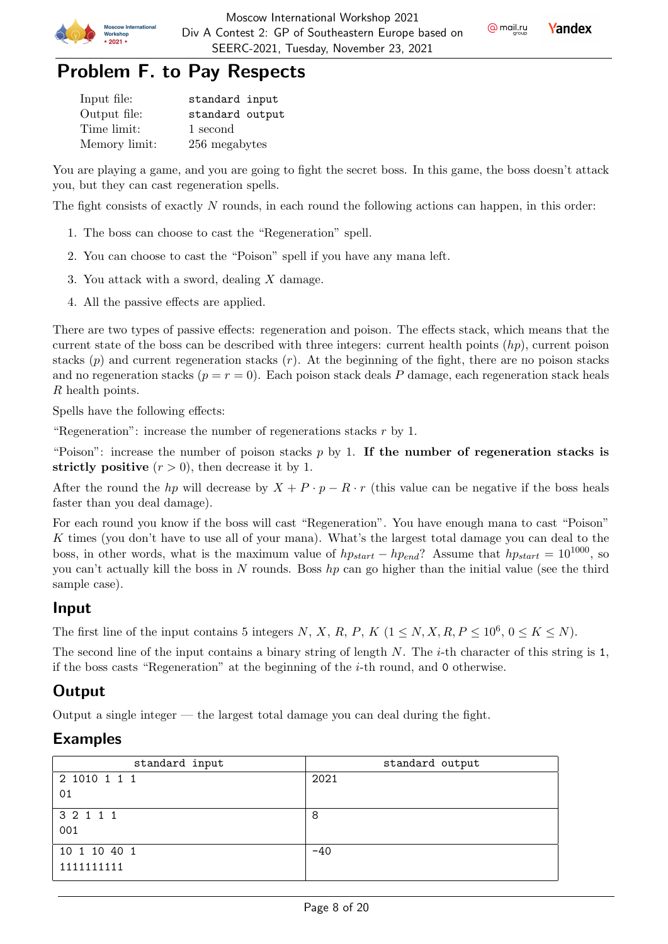



| Input file:   | standard input  |
|---------------|-----------------|
| Output file:  | standard output |
| Time limit:   | 1 second        |
| Memory limit: | 256 megabytes   |

You are playing a game, and you are going to fight the secret boss. In this game, the boss doesn't attack you, but they can cast regeneration spells.

The fight consists of exactly  $N$  rounds, in each round the following actions can happen, in this order:

- 1. The boss can choose to cast the "Regeneration" spell.
- 2. You can choose to cast the "Poison" spell if you have any mana left.
- 3. You attack with a sword, dealing  $X$  damage.
- 4. All the passive effects are applied.

There are two types of passive effects: regeneration and poison. The effects stack, which means that the current state of the boss can be described with three integers: current health points  $(hp)$ , current poison stacks  $(p)$  and current regeneration stacks  $(r)$ . At the beginning of the fight, there are no poison stacks and no regeneration stacks  $(p = r = 0)$ . Each poison stack deals P damage, each regeneration stack heals R health points.

Spells have the following effects:

"Regeneration": increase the number of regenerations stacks  $r$  by 1.

"Poison": increase the number of poison stacks  $p$  by 1. If the number of regeneration stacks is strictly positive  $(r > 0)$ , then decrease it by 1.

After the round the hp will decrease by  $X + P \cdot p - R \cdot r$  (this value can be negative if the boss heals faster than you deal damage).

For each round you know if the boss will cast "Regeneration". You have enough mana to cast "Poison" K times (you don't have to use all of your mana). What's the largest total damage you can deal to the boss, in other words, what is the maximum value of  $hp_{start} - hp_{end}$ ? Assume that  $hp_{start} = 10^{1000}$ , so you can't actually kill the boss in N rounds. Boss  $hp$  can go higher than the initial value (see the third sample case).

#### Input

The first line of the input contains 5 integers N, X, R, P, K  $(1 \le N, X, R, P \le 10^6, 0 \le K \le N)$ .

The second line of the input contains a binary string of length  $N$ . The *i*-th character of this string is 1, if the boss casts "Regeneration" at the beginning of the  $i$ -th round, and 0 otherwise.

## **Output**

Output a single integer — the largest total damage you can deal during the fight.

### Examples

| standard input | standard output |
|----------------|-----------------|
| 2 1010 1 1 1   | 2021            |
| 01             |                 |
| 3 2 1 1 1      | 8               |
| 001            |                 |
| 10 1 10 40 1   | $-40$           |
| 1111111111     |                 |



@ mail.ru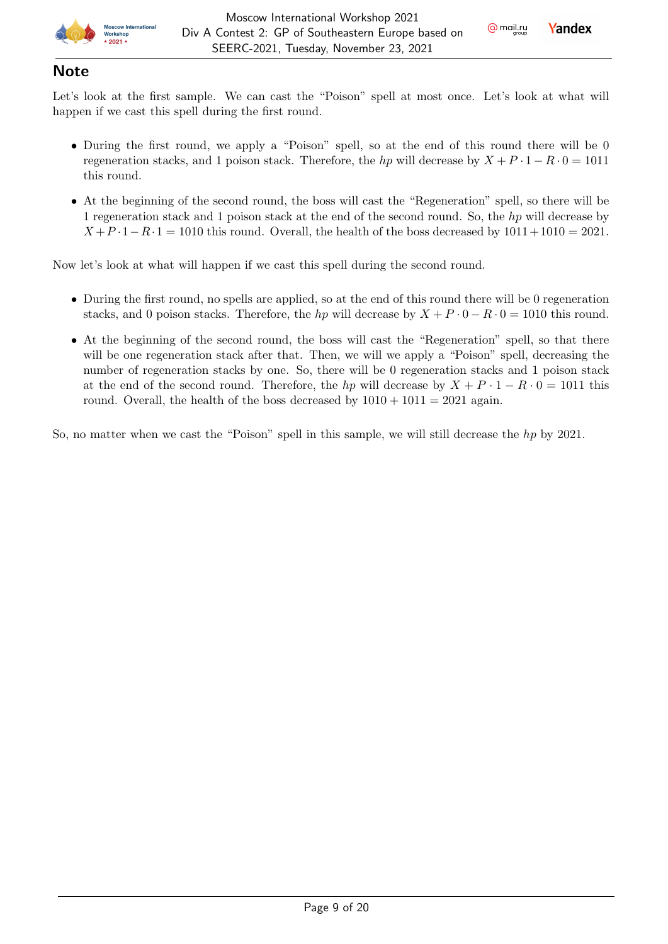

### **Note**

Let's look at the first sample. We can cast the "Poison" spell at most once. Let's look at what will happen if we cast this spell during the first round.

- During the first round, we apply a "Poison" spell, so at the end of this round there will be 0 regeneration stacks, and 1 poison stack. Therefore, the hp will decrease by  $X + P \cdot 1 - R \cdot 0 = 1011$ this round.
- At the beginning of the second round, the boss will cast the "Regeneration" spell, so there will be 1 regeneration stack and 1 poison stack at the end of the second round. So, the h<sub>p</sub> will decrease by  $X + P \cdot 1 - R \cdot 1 = 1010$  this round. Overall, the health of the boss decreased by  $1011 + 1010 = 2021$ .

Now let's look at what will happen if we cast this spell during the second round.

- During the first round, no spells are applied, so at the end of this round there will be 0 regeneration stacks, and 0 poison stacks. Therefore, the hp will decrease by  $X + P \cdot 0 - R \cdot 0 = 1010$  this round.
- At the beginning of the second round, the boss will cast the "Regeneration" spell, so that there will be one regeneration stack after that. Then, we will we apply a "Poison" spell, decreasing the number of regeneration stacks by one. So, there will be 0 regeneration stacks and 1 poison stack at the end of the second round. Therefore, the hp will decrease by  $X + P \cdot 1 - R \cdot 0 = 1011$  this round. Overall, the health of the boss decreased by  $1010 + 1011 = 2021$  again.

So, no matter when we cast the "Poison" spell in this sample, we will still decrease the  $hp$  by 2021.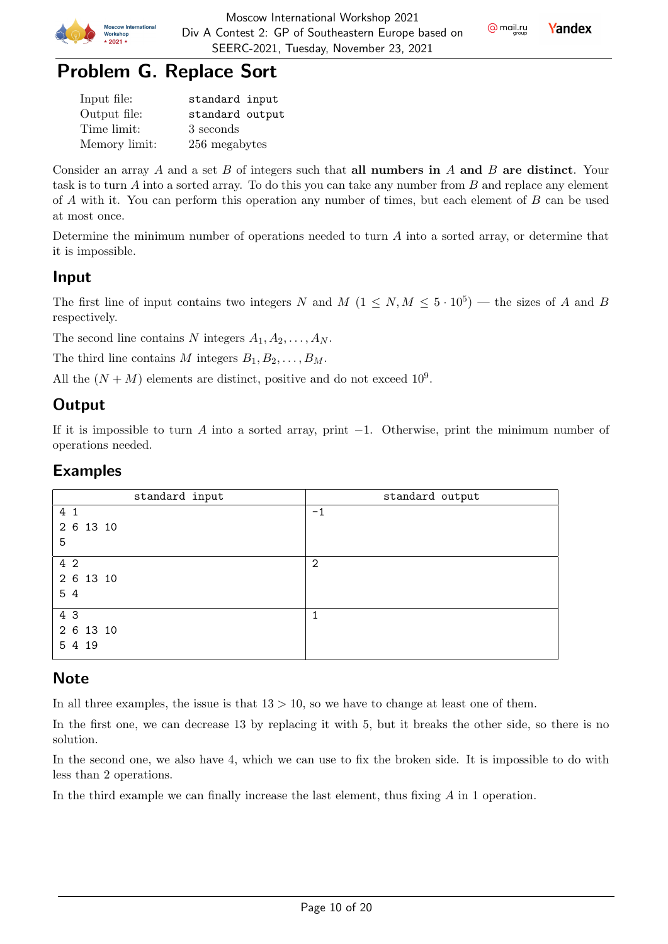



| Input file:   | standard input  |
|---------------|-----------------|
| Output file:  | standard output |
| Time limit:   | 3 seconds       |
| Memory limit: | 256 megabytes   |

Consider an array A and a set  $B$  of integers such that all numbers in  $A$  and  $B$  are distinct. Your task is to turn  $A$  into a sorted array. To do this you can take any number from  $B$  and replace any element of  $\tilde{A}$  with it. You can perform this operation any number of times, but each element of  $\tilde{B}$  can be used at most once.

Determine the minimum number of operations needed to turn  $A$  into a sorted array, or determine that it is impossible.

### Input

The first line of input contains two integers N and  $M$   $(1 \le N, M \le 5 \cdot 10^5)$  — the sizes of A and B respectively.

The second line contains N integers  $A_1, A_2, \ldots, A_N$ .

The third line contains M integers  $B_1, B_2, \ldots, B_M$ .

All the  $(N + M)$  elements are distinct, positive and do not exceed  $10^9$ .

## **Output**

If it is impossible to turn A into a sorted array, print  $-1$ . Otherwise, print the minimum number of operations needed.

### Examples

| standard input | standard output |
|----------------|-----------------|
| 4 1            | $-1$            |
| 2 6 13 10      |                 |
| 5              |                 |
| 4 2            | $\overline{2}$  |
| 2 6 13 10      |                 |
| 54             |                 |
| 4 3            |                 |
| 2 6 13 10      |                 |
| 5 4 19         |                 |

### **Note**

In all three examples, the issue is that  $13 > 10$ , so we have to change at least one of them.

In the first one, we can decrease 13 by replacing it with 5, but it breaks the other side, so there is no solution.

In the second one, we also have 4, which we can use to fix the broken side. It is impossible to do with less than 2 operations.

In the third example we can finally increase the last element, thus fixing  $\tilde{A}$  in 1 operation.

@ mail.ru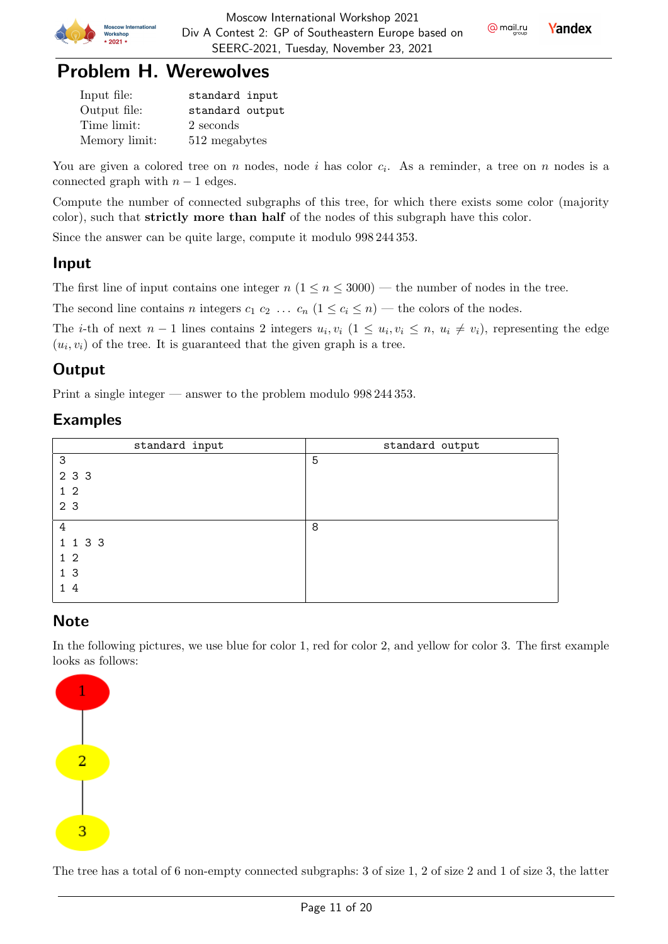

Yandex



| Input file:   | standard input  |
|---------------|-----------------|
| Output file:  | standard output |
| Time limit:   | 2 seconds       |
| Memory limit: | 512 megabytes   |

You are given a colored tree on  $n$  nodes, node  $i$  has color  $c_i$ . As a reminder, a tree on  $n$  nodes is a connected graph with  $n-1$  edges.

Compute the number of connected subgraphs of this tree, for which there exists some color (majority color), such that strictly more than half of the nodes of this subgraph have this color.

Since the answer can be quite large, compute it modulo 998 244 353.

## Input

The first line of input contains one integer  $n (1 \le n \le 3000)$  — the number of nodes in the tree.

The second line contains *n* integers  $c_1$   $c_2$  ...  $c_n$   $(1 \le c_i \le n)$  — the colors of the nodes.

The *i*-th of next  $n-1$  lines contains 2 integers  $u_i, v_i$   $(1 \le u_i, v_i \le n, u_i \ne v_i)$ , representing the edge  $(u_i, v_i)$  of the tree. It is guaranteed that the given graph is a tree.

## **Output**

Print a single integer — answer to the problem modulo 998 244 353.

### Examples

| standard input | standard output |
|----------------|-----------------|
| 3              | 5               |
| 2 3 3          |                 |
| $1\quad2$      |                 |
| 2 <sub>3</sub> |                 |
| 4              | 8               |
| 1 1 3 3        |                 |
| 1 <sub>2</sub> |                 |
| 1 <sub>3</sub> |                 |
| 14             |                 |

## **Note**

In the following pictures, we use blue for color 1, red for color 2, and yellow for color 3. The first example looks as follows:



The tree has a total of 6 non-empty connected subgraphs: 3 of size 1, 2 of size 2 and 1 of size 3, the latter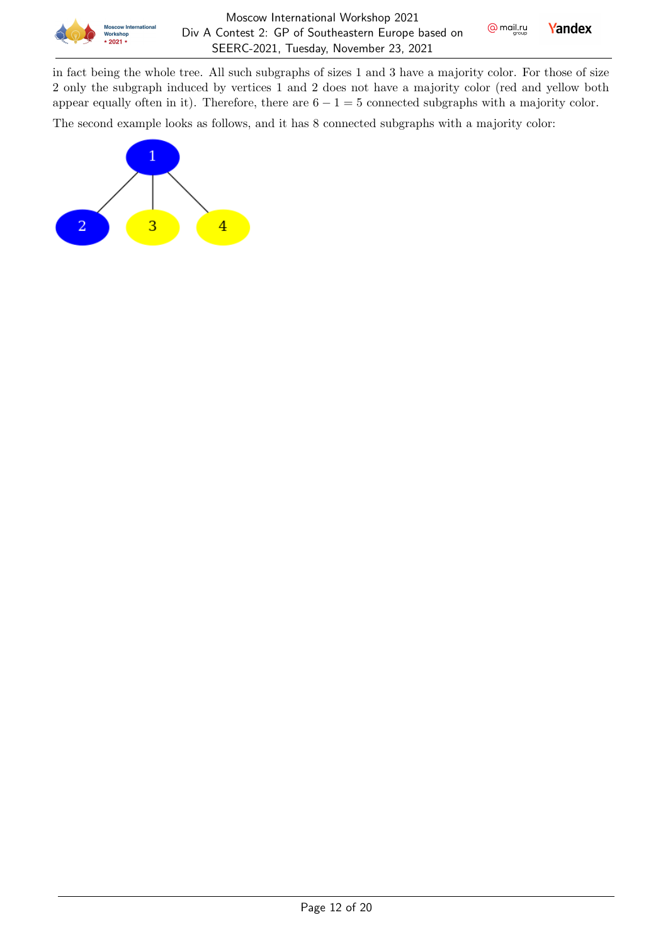

in fact being the whole tree. All such subgraphs of sizes 1 and 3 have a majority color. For those of size 2 only the subgraph induced by vertices 1 and 2 does not have a majority color (red and yellow both appear equally often in it). Therefore, there are  $6 - 1 = 5$  connected subgraphs with a majority color.

The second example looks as follows, and it has 8 connected subgraphs with a majority color:

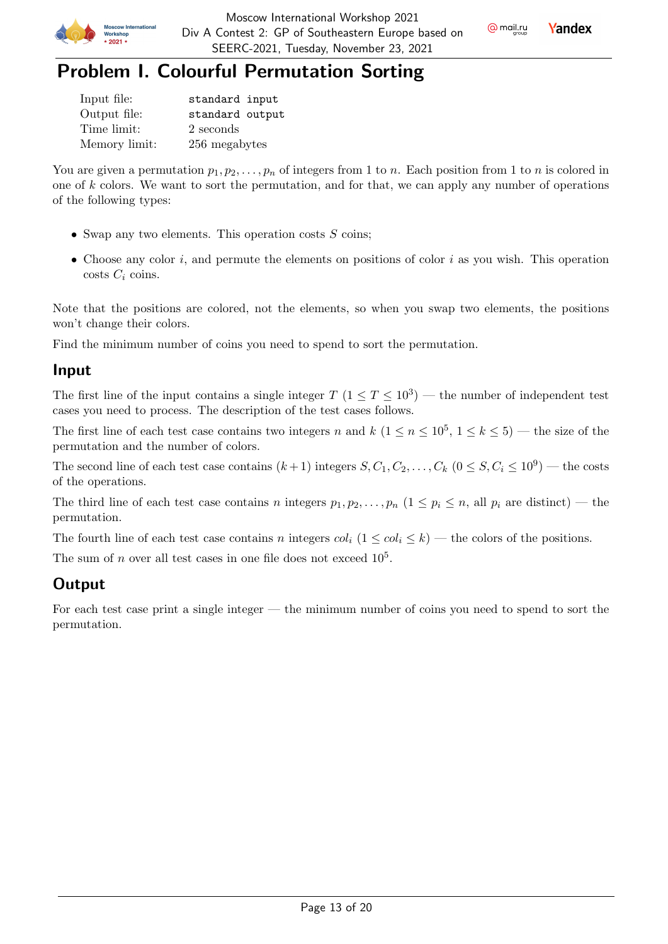



## Problem I. Colourful Permutation Sorting

| Input file:   | standard input  |
|---------------|-----------------|
| Output file:  | standard output |
| Time limit:   | 2 seconds       |
| Memory limit: | 256 megabytes   |

You are given a permutation  $p_1, p_2, \ldots, p_n$  of integers from 1 to *n*. Each position from 1 to *n* is colored in one of  $k$  colors. We want to sort the permutation, and for that, we can apply any number of operations of the following types:

- Swap any two elements. This operation costs  $S$  coins;
- Choose any color  $i$ , and permute the elements on positions of color  $i$  as you wish. This operation costs  $C_i$  coins.

Note that the positions are colored, not the elements, so when you swap two elements, the positions won't change their colors.

Find the minimum number of coins you need to spend to sort the permutation.

### Input

The first line of the input contains a single integer  $T$   $(1 \le T \le 10^3)$  — the number of independent test cases you need to process. The description of the test cases follows.

The first line of each test case contains two integers n and  $k$   $(1 \le n \le 10^5, 1 \le k \le 5)$  — the size of the permutation and the number of colors.

The second line of each test case contains  $(k+1)$  integers  $S, C_1, C_2, \ldots, C_k$   $(0 \leq S, C_i \leq 10^9)$  — the costs of the operations.

The third line of each test case contains *n* integers  $p_1, p_2, \ldots, p_n$   $(1 \leq p_i \leq n,$  all  $p_i$  are distinct) — the permutation.

The fourth line of each test case contains *n* integers  $col_i$   $(1 \leq col_i \leq k)$  — the colors of the positions.

The sum of  $n$  over all test cases in one file does not exceed  $10^5$ .

## **Output**

For each test case print a single integer — the minimum number of coins you need to spend to sort the permutation.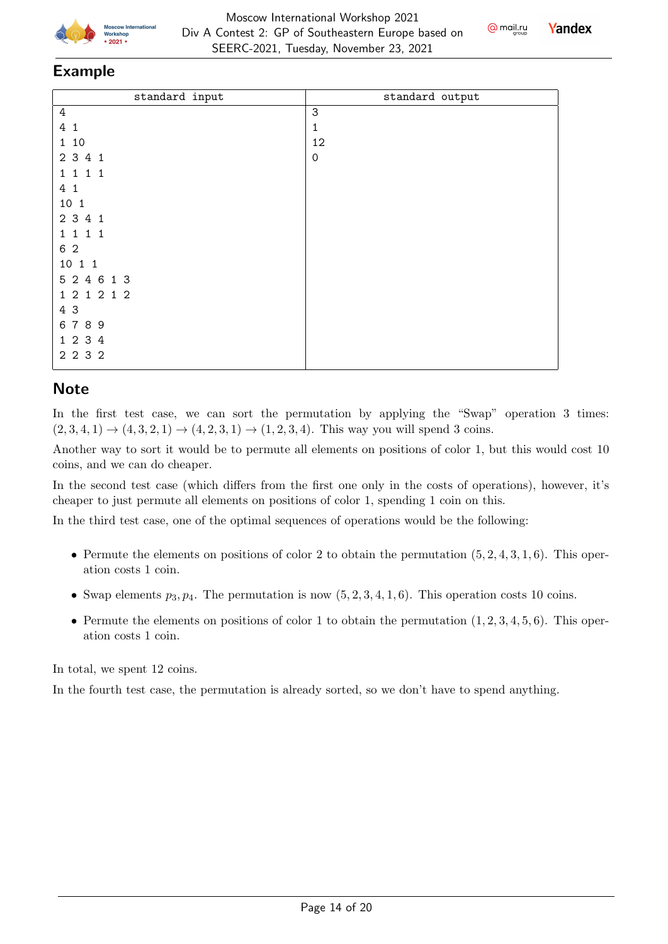





#### Example

| standard input | standard output |
|----------------|-----------------|
| $\overline{4}$ | $\mathbf{3}$    |
| 4 1            | 1               |
| 1 10           | 12              |
| 2 3 4 1        | $\mathbf 0$     |
| 1 1 1 1        |                 |
| 4 1            |                 |
| 10 1           |                 |
| 2 3 4 1        |                 |
| 1 1 1 1        |                 |
| 6 2            |                 |
| 10 1 1         |                 |
| 5 2 4 6 1 3    |                 |
| 1 2 1 2 1 2    |                 |
| 4 3            |                 |
| 6789           |                 |
| 1 2 3 4        |                 |
| 2 2 3 2        |                 |
|                |                 |

## **Note**

In the first test case, we can sort the permutation by applying the "Swap" operation 3 times:  $(2, 3, 4, 1) \rightarrow (4, 3, 2, 1) \rightarrow (4, 2, 3, 1) \rightarrow (1, 2, 3, 4)$ . This way you will spend 3 coins.

Another way to sort it would be to permute all elements on positions of color 1, but this would cost 10 coins, and we can do cheaper.

In the second test case (which differs from the first one only in the costs of operations), however, it's cheaper to just permute all elements on positions of color 1, spending 1 coin on this.

In the third test case, one of the optimal sequences of operations would be the following:

- Permute the elements on positions of color 2 to obtain the permutation  $(5, 2, 4, 3, 1, 6)$ . This operation costs 1 coin.
- Swap elements  $p_3, p_4$ . The permutation is now  $(5, 2, 3, 4, 1, 6)$ . This operation costs 10 coins.
- Permute the elements on positions of color 1 to obtain the permutation  $(1, 2, 3, 4, 5, 6)$ . This operation costs 1 coin.

In total, we spent 12 coins.

In the fourth test case, the permutation is already sorted, so we don't have to spend anything.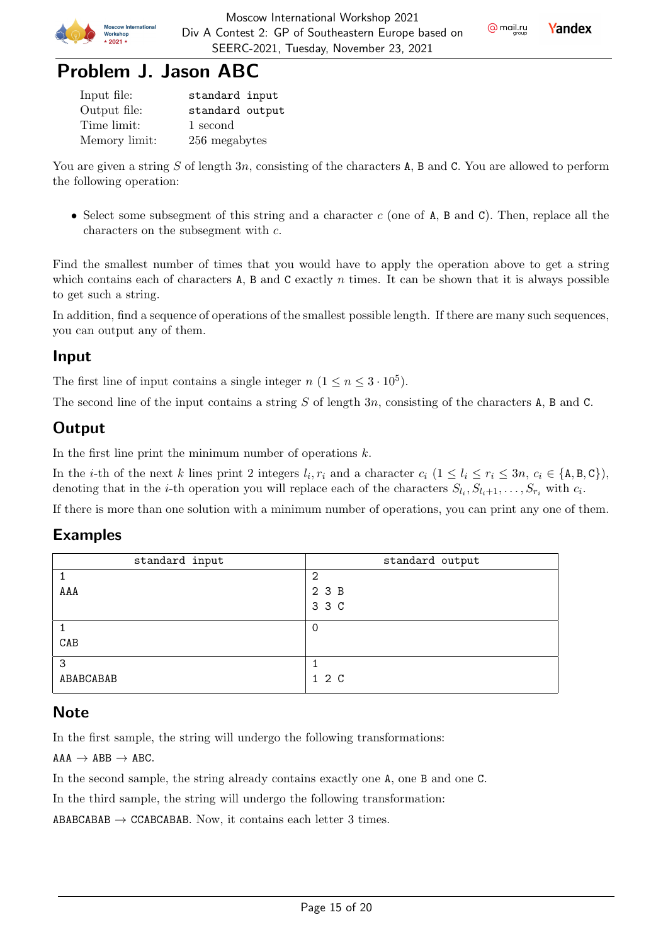



## Problem J. Jason ABC

| Input file:   | standard input  |
|---------------|-----------------|
| Output file:  | standard output |
| Time limit:   | 1 second        |
| Memory limit: | 256 megabytes   |

You are given a string S of length 3n, consisting of the characters A, B and C. You are allowed to perform the following operation:

• Select some subsegment of this string and a character  $c$  (one of A, B and C). Then, replace all the characters on the subsegment with  $c$ .

Find the smallest number of times that you would have to apply the operation above to get a string which contains each of characters A, B and C exactly  $n$  times. It can be shown that it is always possible to get such a string.

In addition, find a sequence of operations of the smallest possible length. If there are many such sequences, you can output any of them.

### Input

The first line of input contains a single integer  $n (1 \le n \le 3 \cdot 10^5)$ .

The second line of the input contains a string  $S$  of length  $3n$ , consisting of the characters A, B and C.

## **Output**

In the first line print the minimum number of operations  $k$ .

In the *i*-th of the next *k* lines print 2 integers  $l_i, r_i$  and a character  $c_i$   $(1 \leq l_i \leq r_i \leq 3n, c_i \in \{A, B, C\})$ , denoting that in the *i*-th operation you will replace each of the characters  $S_{l_i}, S_{l_i+1}, \ldots, S_{r_i}$  with  $c_i$ .

If there is more than one solution with a minimum number of operations, you can print any one of them.

### Examples

| standard input | standard output |
|----------------|-----------------|
|                | 2               |
| AAA            | 2 3 B           |
|                | 3 3 C           |
|                |                 |
| CAB            |                 |
| 3              |                 |
| ABABCABAB      | 1 2 C           |

### **Note**

In the first sample, the string will undergo the following transformations:

 $AAA \rightarrow ABB \rightarrow ABC$ .

In the second sample, the string already contains exactly one A, one B and one C.

In the third sample, the string will undergo the following transformation:

ABABCABAB  $\rightarrow$  CCABCABAB. Now, it contains each letter 3 times.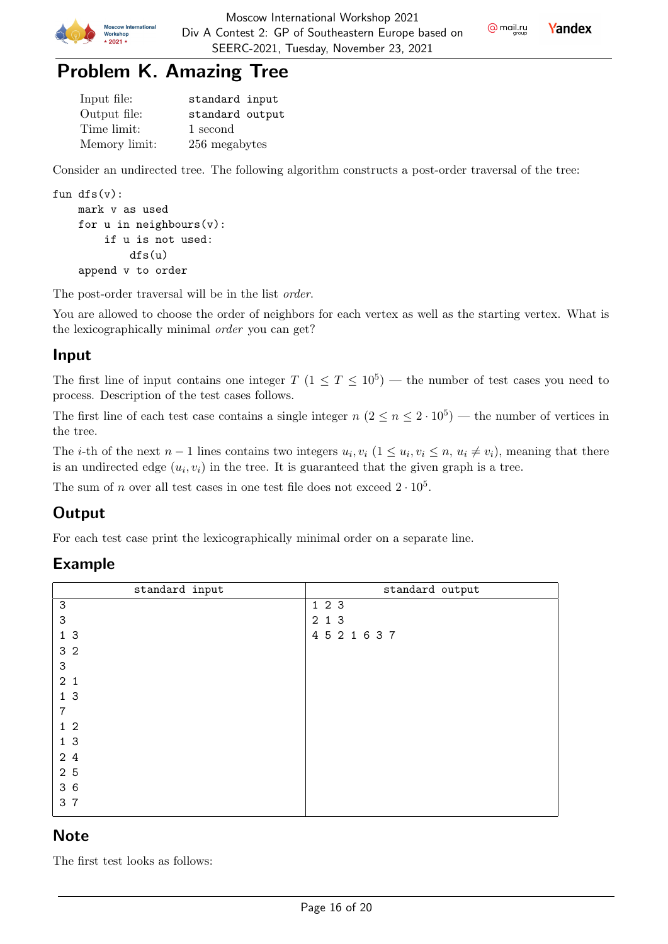

**Yandex** 

# Problem K. Amazing Tree

| Input file:   | standard input  |
|---------------|-----------------|
| Output file:  | standard output |
| Time limit:   | 1 second        |
| Memory limit: | 256 megabytes   |

Consider an undirected tree. The following algorithm constructs a post-order traversal of the tree:

```
fun dfs(v):
mark v as used
for u in neighbours(v):
    if u is not used:
        dfs(u)
append v to order
```
The post-order traversal will be in the list order.

You are allowed to choose the order of neighbors for each vertex as well as the starting vertex. What is the lexicographically minimal order you can get?

### Input

The first line of input contains one integer  $T$   $(1 \le T \le 10^5)$  — the number of test cases you need to process. Description of the test cases follows.

The first line of each test case contains a single integer  $n (2 \le n \le 2 \cdot 10^5)$  — the number of vertices in the tree.

The *i*-th of the next  $n-1$  lines contains two integers  $u_i, v_i$  ( $1 \le u_i, v_i \le n$ ,  $u_i \ne v_i$ ), meaning that there is an undirected edge  $(u_i, v_i)$  in the tree. It is guaranteed that the given graph is a tree.

The sum of *n* over all test cases in one test file does not exceed  $2 \cdot 10^5$ .

## **Output**

For each test case print the lexicographically minimal order on a separate line.

### Example

| standard input | standard output |
|----------------|-----------------|
| 3              | 123             |
| 3              | 2 1 3           |
| 1 <sub>3</sub> | 4 5 2 1 6 3 7   |
| 3 <sub>2</sub> |                 |
| 3              |                 |
| 2 <sub>1</sub> |                 |
| 1 <sub>3</sub> |                 |
| 7              |                 |
| 1 <sub>2</sub> |                 |
| 1 <sub>3</sub> |                 |
| 24             |                 |
| 2 5            |                 |
| 36             |                 |
| 3 7            |                 |
|                |                 |

### **Note**

The first test looks as follows: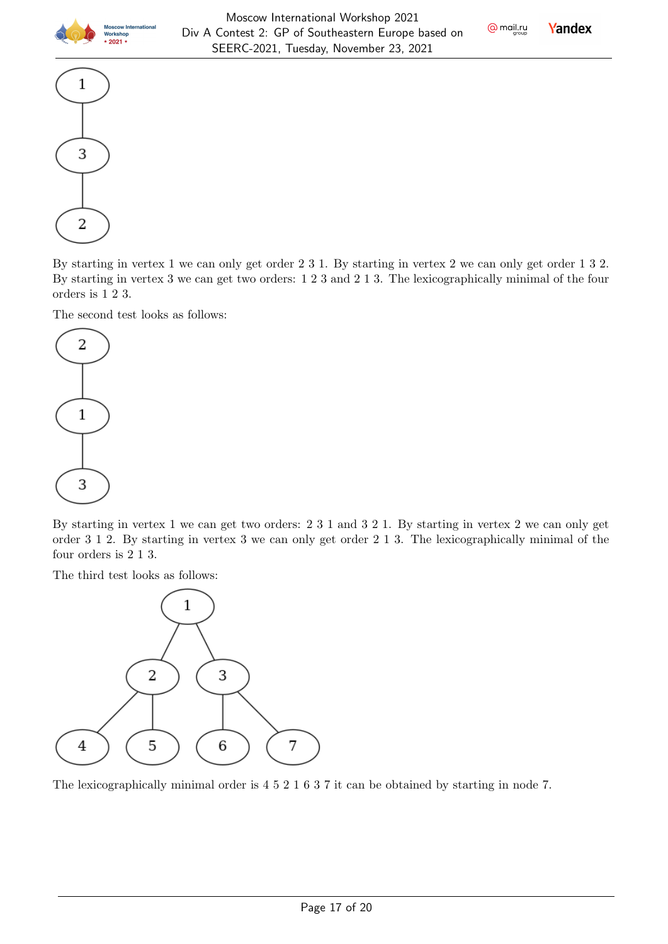

**Yandex** 



By starting in vertex 1 we can only get order 2 3 1. By starting in vertex 2 we can only get order 1 3 2. By starting in vertex 3 we can get two orders: 1 2 3 and 2 1 3. The lexicographically minimal of the four orders is 1 2 3.

The second test looks as follows:



By starting in vertex 1 we can get two orders: 2 3 1 and 3 2 1. By starting in vertex 2 we can only get order 3 1 2. By starting in vertex 3 we can only get order 2 1 3. The lexicographically minimal of the four orders is 2 1 3.

The third test looks as follows:



The lexicographically minimal order is 4 5 2 1 6 3 7 it can be obtained by starting in node 7.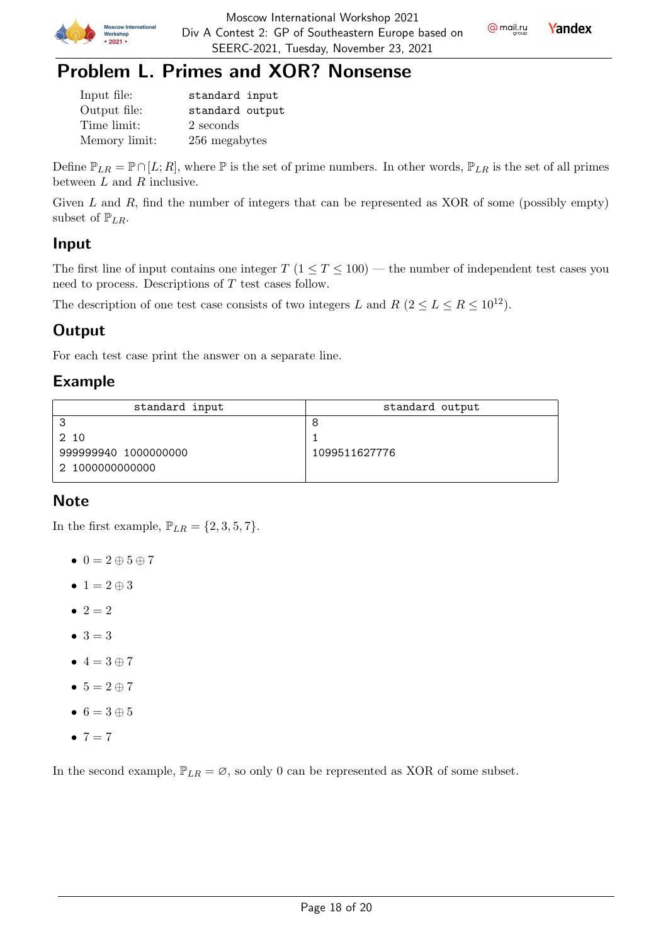

**Yandex** 



| Input file:   | standard input  |
|---------------|-----------------|
| Output file:  | standard output |
| Time limit:   | 2 seconds       |
| Memory limit: | 256 megabytes   |

Define  $\mathbb{P}_{LR} = \mathbb{P} \cap [L; R]$ , where  $\mathbb P$  is the set of prime numbers. In other words,  $\mathbb{P}_{LR}$  is the set of all primes between  $L$  and  $R$  inclusive.

Given  $L$  and  $R$ , find the number of integers that can be represented as XOR of some (possibly empty) subset of  $\mathbb{P}_{LR}$ .

### Input

The first line of input contains one integer  $T$  ( $1 \le T \le 100$ ) — the number of independent test cases you need to process. Descriptions of  $T$  test cases follow.

The description of one test case consists of two integers L and R  $(2 \le L \le R \le 10^{12})$ .

## **Output**

For each test case print the answer on a separate line.

## Example

| standard input       | standard output |  |  |
|----------------------|-----------------|--|--|
| ີ                    |                 |  |  |
| 2 10                 |                 |  |  |
| 999999940 1000000000 | 1099511627776   |  |  |
| 2 1000000000000      |                 |  |  |

## **Note**

In the first example,  $\mathbb{P}_{LR} = \{2, 3, 5, 7\}.$ 

- $\bullet$  0 = 2  $\oplus$  5  $\oplus$  7
- $1 = 2 \oplus 3$
- $2 = 2$
- $3 = 3$
- $\bullet$  4 = 3  $\oplus$  7
- $5 = 2 \oplus 7$
- $6 = 3 \oplus 5$
- $7 = 7$

In the second example,  $\mathbb{P}_{LR} = \emptyset$ , so only 0 can be represented as XOR of some subset.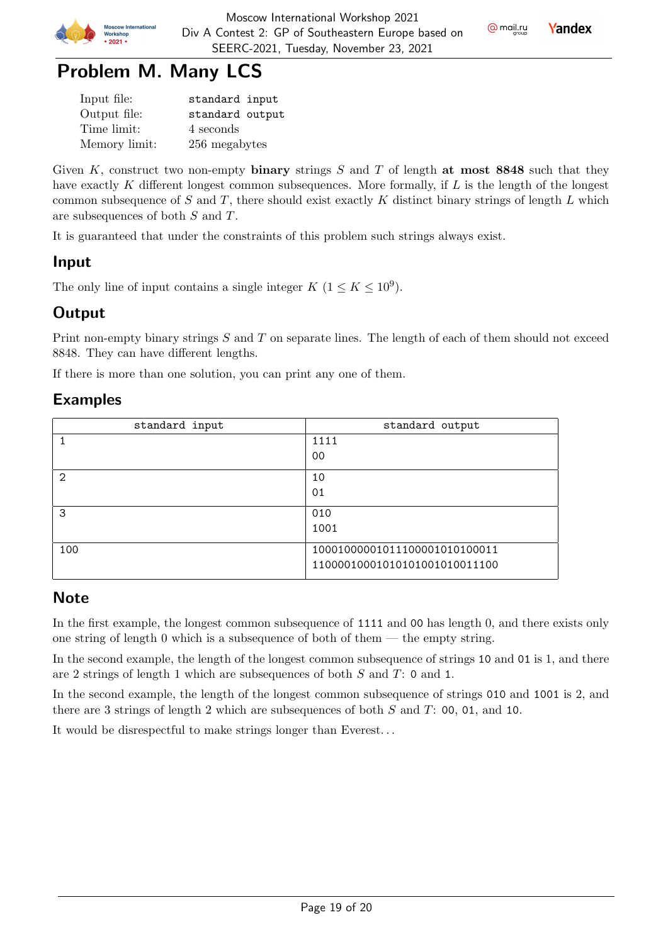

**Yandex** 



| Input file:   | standard input  |  |  |  |
|---------------|-----------------|--|--|--|
| Output file:  | standard output |  |  |  |
| Time limit:   | 4 seconds       |  |  |  |
| Memory limit: | 256 megabytes   |  |  |  |

Given K, construct two non-empty binary strings  $S$  and  $T$  of length at most 8848 such that they have exactly  $K$  different longest common subsequences. More formally, if  $L$  is the length of the longest common subsequence of  $S$  and  $T$ , there should exist exactly  $K$  distinct binary strings of length  $L$  which are subsequences of both  $S$  and  $T$ .

It is guaranteed that under the constraints of this problem such strings always exist.

### Input

The only line of input contains a single integer  $K$   $(1 \leq K \leq 10^9)$ .

### **Output**

Print non-empty binary strings  $S$  and  $T$  on separate lines. The length of each of them should not exceed 8848. They can have different lengths.

If there is more than one solution, you can print any one of them.

### Examples

| standard input | standard output               |  |  |
|----------------|-------------------------------|--|--|
|                | 1111                          |  |  |
|                | 00                            |  |  |
| $\mathfrak{D}$ | 10                            |  |  |
|                | 01                            |  |  |
| 3              | 010                           |  |  |
|                | 1001                          |  |  |
| 100            | 10001000001011100001010100011 |  |  |
|                | 11000010001010101001010011100 |  |  |

### **Note**

In the first example, the longest common subsequence of 1111 and 00 has length 0, and there exists only one string of length 0 which is a subsequence of both of them  $-$  the empty string.

In the second example, the length of the longest common subsequence of strings 10 and 01 is 1, and there are 2 strings of length 1 which are subsequences of both  $S$  and  $T: 0$  and 1.

In the second example, the length of the longest common subsequence of strings 010 and 1001 is 2, and there are 3 strings of length 2 which are subsequences of both  $S$  and  $T: 00, 01,$  and 10.

It would be disrespectful to make strings longer than Everest. . .